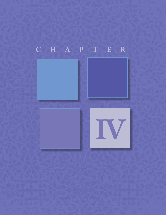# CHAPTER

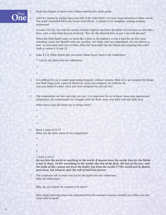

Day 1. Read the chapter, at least twice, before starting this study guide.<br>2. Luke 4:1 begins by saying Jesus was full of the Holy Spirit. Let's The word translated full is the Greek word Pleres. It means to b **2.** Luke 4:1 begins by saying Jesus was full of the Holy Spirit. Let's pay close attention to these words. The word translated full is the Greek word Pleres. It means to be complete, lacking nothing, permeated.

> In Luke 3:21-22, we read the events of Jesus' baptism and how the Spirit of God came on him like a dove, and a voice from heaven declared, "You are My beloved Son; in you I am well pleased."

When the Holy Spirit came on Jesus like a dove at his baptism, it was a sign for all who were watching. Jesus can identify with our troubles, our trials, and our temptations. He has shown us how to overcome each one of them. How did Jesus fight the lies Satan was tempting him with? Look at verses 4, 8 and 12.

- **3.** Luke 4:1-2. What details did you notice about Jesus' time in the wilderness?
	- Led by the Spirit into the wilderness

•

•

•

•

•

•

•

•

- **4.** It is difficult for us to understand being tempted, without sinning. Most of us are tempted by things our flesh longs to be a part of. However, Jesus was tempted, yet without sin. Can you think of a time when you were tempted but did not sin?
- **5.** The temptations we face each day are real. It is important for us to know Jesus also experienced temptation. He understands our struggle with the flesh. Jesus was fully God and fully man.

What three ways did Satan try to tempt Jesus?

- **6.** Read 1 John 2:15-17 What are the three areas of our temptation?
	- 1 John 2:15-17

*Do not love the world or anything in the world. If anyone loves the world, love for the Father*  is not in them. 16 For everything in the world—the lust of the flesh, the lust of the eyes, and  *the pride of life—comes not from the Father but from the world.17 The world and its desires pass away, but whoever does the will of God lives forever.*

**7.** The scriptures tell us Jesus was led by the Spirit into the wilderness. Why the wilderness?

Why, do you believe he needed to be there?

How might knowing Jesus was separated from the normal resources comfort you when you feel alone and in need?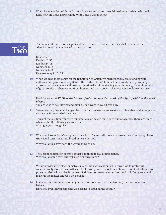•

•

•

**8.** When Satan confronted Jesus in the wilderness and three times feigned to be a friend who could help, how did Jesus answer him? Write Jesus's words below.



**9.** The number 40 seems very significant in God's word. Look up the verses below, what is the significance of the number 40 in these verses?

Genesis 7:1-5 Exodus 16:35 Exodus 24:18 Numbers 13:25 Numbers 14:33 Deuteronomy 9:18, 25

**10.** When we read these verses on the temptation of Christ, we might picture Jesus standing with authority and power rebuking Satan. The truth is, Jesus' flesh had been weakened by his hunger, exposure to the elements and now the emotional strain of dealing with his enemy, Satan. I find this of great comfort. When we are tired, hungry, and worn down, what weapon should we rely on?

Read Ephesians 6:17 *"Take the helmet of salvation and the sword of the Spirit, which is the word of God."* 

You are wise to be studying and hiding God's word in your heart now.

**11.** Satan's strategy has not changed, he looks for us when we are weak and vulnerable, and attempts to distract us from our God-given call.

Think of the last time you were tempted take an easier route or to quit altogether. There are times when faithfully following seems so hard. What got you through it?

**12.** When we look at Jesus's temptations, we learn Satan really does understand Jesus' authority. Jesus truly could turn stones into bread, if he so desired.

Why would this have been the wrong thing to do?

**13.** The second temptation seems a rather odd thing to say, at first glance. Why would Satan even suggest such a strange thing?

We are unwise if we place ourselves in a position which attempts to force God to protect us supernaturally. God can and will care for his own, but we should not choose to act foolishly, just to prove our God will display his power. God does not perform at our beck and call. Doing so would make us the master and God the servant.

**14.** I believe this third temptation might hit closer to home than the first two, for most American believers.

Have you ever known someone who seems to catch all the breaks?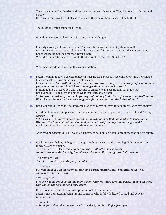They have not worked harder, and they are not necessarily smarter. They just seem to always land on top.

Have you ever prayed, Lord please trust me with some of those riches, I'll be faithful?

The question I often ask myself is why?

Why do I want God to bless me with these material things?

I quickly answer, so I can share them. The truth is, I also want to enjoy them myself. In Matthew 25:14-30, Jesus told a parable to teach on faithfulness. This world is not our home. Believers should not look for their reward here. What did the Master say to his two faithful servants in Matthew 25:21, 23?

What had they done to receive this commendation?

**15.** Satan is willing to lavish us with temporal treasure for a season. If we will follow him. If we make him our master. However, he is a terrible master. It has been said, *"Sin will take you farther than you wanted to go, it will cost you far more than you wanted to pay, and it will keep you longer than you wanted to stay."*  I might add, it will leave you with a feeling of emptiness and separation. Satan is a liar!!! Read John 8:44. Highlight in orange what you learn about Satan. *"…He was a murderer from the beginning, not holding to the truth, for there is no truth in him. When he lies, he speaks his native language, for he is a liar and the father of lies."*

**16.** Read Genesis 3:1. Why is it so dangerous for us to converse, even for a moment, with this enemy?

 Eve thought it was a simple conversation, Satan saw it as an opportunity to steal, kill and destroy. Genesis 3:1 MSG

*"The serpent was clever, more clever than any wild animal God had made. He spoke to the Woman: "Do I understand that God told you not to eat from any tree in the garden?"* Read Genesis 2:16-17. What were God's real instructions?

After reading Genesis 2:16-17, was God's intent, to hold out on Adam, or to protect he and his family?

**17.** Read the verses below, highlight in orange the things we are to flee, and highlight in green the things we are to pursue. 1 Corinthians 6:18 *Flee from sexual immorality. All other sins a person* 

*commits are outside the body, but whoever sins sexually, sins against their own body.*

1 Corinthians 10:14  *Therefore, my dear friends, flee from idolatry.*

1 Timothy 6:11 *But you, man of God, flee from all this, and pursue righteousness, godliness, faith, love, endurance and gentleness.*

2 Timothy 2:22

*Flee the evil desires of youth and pursue righteousness, faith, love and peace, along with those who call on the Lord out of a pure heart.* 

 Here is one last verse. A verse with promise. (Circle the promise.) Satan is not interested in being around someone who is fully dedicated to God and actively resisting him.

James 4:7  *Submit yourselves, then, to God. Resist the devil, and he will flee from you.*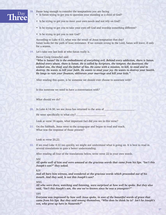

- - Is Satan trying to get you to question your standing as a child of God?
	- Is he trying to get you to meet your own needs and not rely on God?
	- Is he trying to get you to take your eyes off God and worship something different?
	- Is he trying to get you to test God?

According to Luke 4:13, what was the result of Jesus temptation that day? Satan looks for the path of least resistance. If we remain strong in the Lord, Satan will leave, if only for a season.

**19.** Let's take one last look at who Satan really is.

#### Pastor Craig Groeschel said.

*"Who is Satan? He is the embodiment of everything evil. Behind every addiction, there is Satan. Behind every abuse, there is Satan. He is called by Scripture, the tempter, the destroyer, the wicked one, the thief, and the father of lies. He came with a mission, to kill, to steal and to destroy. He wants to kill your faith. He wants to steal your joy. He wants to destroy your health. He longs to ruin your finances, obliterate your marriage and kill your kids."*

After reading this quote, is he someone we should ever choose to associate with?

Is this someone we need to have a conversation with?

What should we do?

20. In Luke 4:14-30, we see Jesus has returned to the area of

 He went specifically to what city?

Look at verse 16 again, what important fact did you see in this verse?

**21.** On the Sabbath, Jesus went to the synagogue and began to read and teach. What was the response of those present?

#### Look at verse 20,22.

**22.** If we read Luke 4:22 too quickly, we might not understand what is going on. It is best to read in several translations to gain a better understanding.

After reading all four of the translations below, write verse 22 in your own words.

#### NIV

*All spoke well of him and were amazed at the gracious words that came from his lips. "Isn't this Joseph's son?" they asked.*

KJV

*And all bare him witness, and wondered at the gracious words which proceeded out of his mouth. And they said, Is not this Joseph's son?*

**MSG** 

*All who were there, watching and listening, were surprised at how well he spoke. But they also said, "Isn't this Joseph's son, the one we've known since he was a youngster?"*

## TPT

*Everyone was impressed by how well Jesus spoke, in awe of the beautiful words of grace that came from his lips. But they said among themselves, "Who does he think he is? Isn't he Joseph's son, who grew up here in Nazareth?"*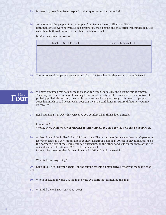- **23.** In verse 24, how does Jesus respond to their questioning his authority?
- **24.** Jesus reminds the people of two examples from Israel's history: Elijah and Elisha. Both men of God were not valued as a prophet by their people and they often went unheeded. God used them both to do miracles for others outside of Israel.

 Briefly state these two stories.

| Elijah, 1 Kings 17:7-24 | Elisha, 2 Kings 5:1-14 |
|-------------------------|------------------------|
|                         |                        |
|                         |                        |
|                         |                        |
|                         |                        |
|                         |                        |

- **25.** The response of the people escalated in Luke 4: 28-30.What did they want to do with Jesus?
- **26.** We have discussed this before; an angry mob can ramp up quickly and become out of control. They may have been successful pushing Jesus out of the city, but he is not under their control. He probably pulled his hood up, lowered his face and walked right through this crowd of people. Jesus had much to still accomplish. Does this give you confidence for future difficulties you may go through? Four
	- **27.** Read Romans 8:31. Does this verse give you comfort when things look difficult?

Romans 8:31 *"What, then, shall we say in response to these things? If God is for us, who can be against us?"*

**28.** At first glance, it looks like Luke 4:31 is incorrect. The verse states Jesus went down to Capernaum. However, Israel is a very mountainous country. Nazareth is about 1400 feet in elevation and sits on the northern ridge of the Jezreel Valley. Capernaum, on the other hand, sits on the shore of the Sea of Galilee at an elevation of 700 feet below sea level. Do not miss the other details given in verse 31. What day of the week is it?

What is Jesus busy doing?

**29.** Luke 4:33-37 tell us while Jesus is in the temple teaching a man arrives.What was the man's problem?

- **30.** Who is speaking in verse 34, the man or the evil spirit that tormented this man?
- **31.** What did the evil spirit say about Jesus?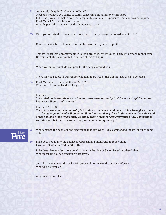- **32.** Jesus said, "Be quiet!" "Come out of him!" Jesus did not need evil spirits to testify concerning his authority or his deity. Luke, the physician, makes note that despite this traumatic experience, the man was not injured. Read Mark 1:26 for a bit more detail. What happened to the man, as the demon was leaving?
- **33.** Were you surprised to learn there was a man in the synagogue who had an evil spirit?

Could someone be in church today and be possessed by an evil spirit?

This evil spirit was uncomfortable in Jesus's presence. Where Jesus is present demons cannot stay. Do you think this man wanted to be free of this evil spirit?

When you sit in church do you pray for the people around you?

There may be people in our service who long to be free of the evil that has them in bondage.

**34.** Read Matthew 10:1 and Matthew 28:18-20 What were Jesus twelve disciples given?

### Matthew 10:1

*"He called his twelve disciples to him and gave them authority to drive out evil spirits and to heal every disease and sickness."* 

### Matthew 28:18-20

*Then Jesus came to them and said, "All authority in heaven and on earth has been given to me. 19 Therefore go and make disciples of all nations, baptizing them in the name of the Father and of the Son and of the Holy Spirit, 20 and teaching them to obey everything I have commanded you. And surely I am with you always, to the very end of the age."*



*35.* What amazed the people in the synagogue that day, when Jesus commanded the evil spirit to come out?

# **36.** Luke does not go into the details of Jesus calling Simon Peter to follow him. ( you might want to read, Mark 1:16-18.)

Luke does give us a few more details about the healing of Simon Peter's mother-in-law. What facts did you see concerning her fever?

Just like the man with the evil spirit, Jesus did not rebuke the person suffering. What did he rebuke?

What was the result?